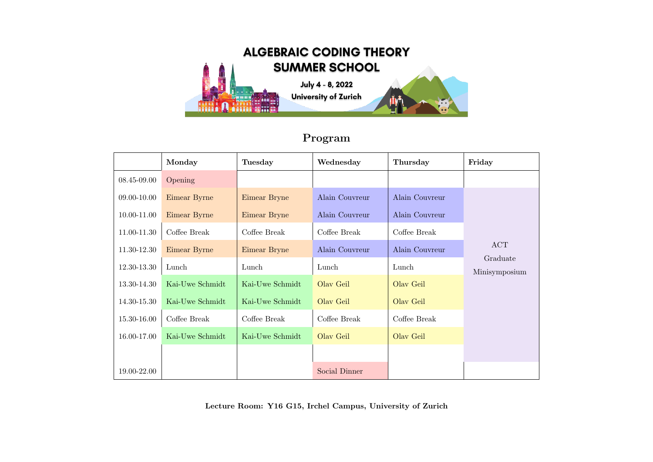

## Program

|             | Monday          | <b>Tuesday</b>  | Wednesday      | Thursday       | Friday                           |
|-------------|-----------------|-----------------|----------------|----------------|----------------------------------|
| 08.45-09.00 | Opening         |                 |                |                |                                  |
| 09.00-10.00 | Eimear Byrne    | Eimear Bryne    | Alain Couvreur | Alain Couvreur |                                  |
| 10.00-11.00 | Eimear Byrne    | Eimear Bryne    | Alain Couvreur | Alain Couvreur | ACT<br>Graduate<br>Minisymposium |
| 11.00-11.30 | Coffee Break    | Coffee Break    | Coffee Break   | Coffee Break   |                                  |
| 11.30-12.30 | Eimear Byrne    | Eimear Bryne    | Alain Couvreur | Alain Couvreur |                                  |
| 12.30-13.30 | Lunch           | Lunch           | Lunch          | Lunch          |                                  |
| 13.30-14.30 | Kai-Uwe Schmidt | Kai-Uwe Schmidt | Olav Geil      | Olav Geil      |                                  |
| 14.30-15.30 | Kai-Uwe Schmidt | Kai-Uwe Schmidt | Olav Geil      | Olav Geil      |                                  |
| 15.30-16.00 | Coffee Break    | Coffee Break    | Coffee Break   | Coffee Break   |                                  |
| 16.00-17.00 | Kai-Uwe Schmidt | Kai-Uwe Schmidt | Olav Geil      | Olav Geil      |                                  |
|             |                 |                 |                |                |                                  |
| 19.00-22.00 |                 |                 | Social Dinner  |                |                                  |

Lecture Room: Y16 G15, Irchel Campus, University of Zurich